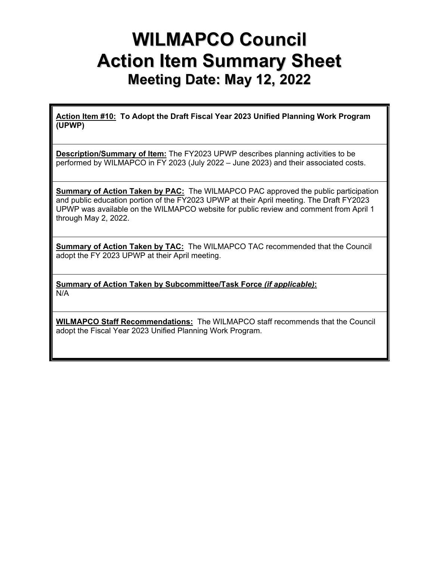## **WILMAPCO Council Action Item Summary Sheet Meeting Date: May 12, 2022**

**Action Item #10: To Adopt the Draft Fiscal Year 2023 Unified Planning Work Program (UPWP)** 

**Description/Summary of Item:** The FY2023 UPWP describes planning activities to be performed by WILMAPCO in FY 2023 (July 2022 – June 2023) and their associated costs.

**Summary of Action Taken by PAC:** The WILMAPCO PAC approved the public participation and public education portion of the FY2023 UPWP at their April meeting. The Draft FY2023 UPWP was available on the WILMAPCO website for public review and comment from April 1 through May 2, 2022.

**Summary of Action Taken by TAC:** The WILMAPCO TAC recommended that the Council adopt the FY 2023 UPWP at their April meeting.

**Summary of Action Taken by Subcommittee/Task Force** *(if applicable)***:** N/A

**WILMAPCO Staff Recommendations:** The WILMAPCO staff recommends that the Council adopt the Fiscal Year 2023 Unified Planning Work Program.